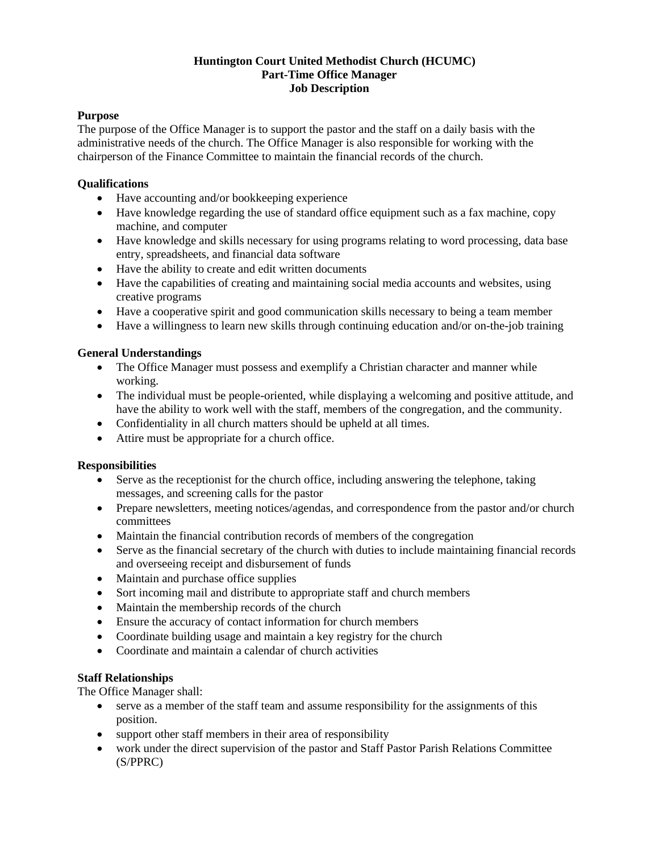# **Huntington Court United Methodist Church (HCUMC) Part-Time Office Manager Job Description**

# **Purpose**

The purpose of the Office Manager is to support the pastor and the staff on a daily basis with the administrative needs of the church. The Office Manager is also responsible for working with the chairperson of the Finance Committee to maintain the financial records of the church.

# **Qualifications**

- Have accounting and/or bookkeeping experience
- Have knowledge regarding the use of standard office equipment such as a fax machine, copy machine, and computer
- Have knowledge and skills necessary for using programs relating to word processing, data base entry, spreadsheets, and financial data software
- Have the ability to create and edit written documents
- Have the capabilities of creating and maintaining social media accounts and websites, using creative programs
- Have a cooperative spirit and good communication skills necessary to being a team member
- Have a willingness to learn new skills through continuing education and/or on-the-job training

# **General Understandings**

- The Office Manager must possess and exemplify a Christian character and manner while working.
- The individual must be people-oriented, while displaying a welcoming and positive attitude, and have the ability to work well with the staff, members of the congregation, and the community.
- Confidentiality in all church matters should be upheld at all times.
- Attire must be appropriate for a church office.

#### **Responsibilities**

- Serve as the receptionist for the church office, including answering the telephone, taking messages, and screening calls for the pastor
- Prepare newsletters, meeting notices/agendas, and correspondence from the pastor and/or church committees
- Maintain the financial contribution records of members of the congregation
- Serve as the financial secretary of the church with duties to include maintaining financial records and overseeing receipt and disbursement of funds
- Maintain and purchase office supplies
- Sort incoming mail and distribute to appropriate staff and church members
- Maintain the membership records of the church
- Ensure the accuracy of contact information for church members
- Coordinate building usage and maintain a key registry for the church
- Coordinate and maintain a calendar of church activities

#### **Staff Relationships**

The Office Manager shall:

- serve as a member of the staff team and assume responsibility for the assignments of this position.
- support other staff members in their area of responsibility
- work under the direct supervision of the pastor and Staff Pastor Parish Relations Committee (S/PPRC)